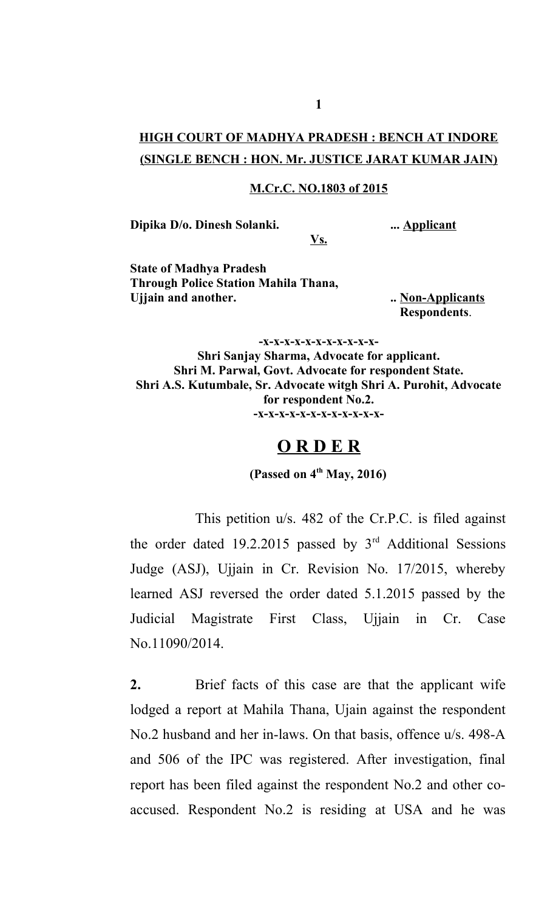## **HIGH COURT OF MADHYA PRADESH : BENCH AT INDORE (SINGLE BENCH : HON. Mr. JUSTICE JARAT KUMAR JAIN)**

## **M.Cr.C. NO.1803 of 2015**

**Vs.**

**Dipika D/o. Dinesh Solanki. ... Applicant**

**State of Madhya Pradesh Through Police Station Mahila Thana, Ujjain and another. .. Non-Applicants**

**Respondents**.

**-x-x-x-x-x-x-x-x-x-x-x-Shri Sanjay Sharma, Advocate for applicant. Shri M. Parwal, Govt. Advocate for respondent State. Shri A.S. Kutumbale, Sr. Advocate witgh Shri A. Purohit, Advocate for respondent No.2. -x-x-x-x-x-x-x-x-x-x-x-x-**

## **O R D E R**

**(Passed on 4th May, 2016)**

This petition u/s. 482 of the Cr.P.C. is filed against the order dated 19.2.2015 passed by  $3<sup>rd</sup>$  Additional Sessions Judge (ASJ), Ujjain in Cr. Revision No. 17/2015, whereby learned ASJ reversed the order dated 5.1.2015 passed by the Judicial Magistrate First Class, Ujjain in Cr. Case No.11090/2014.

**2.** Brief facts of this case are that the applicant wife lodged a report at Mahila Thana, Ujain against the respondent No.2 husband and her in-laws. On that basis, offence u/s. 498-A and 506 of the IPC was registered. After investigation, final report has been filed against the respondent No.2 and other coaccused. Respondent No.2 is residing at USA and he was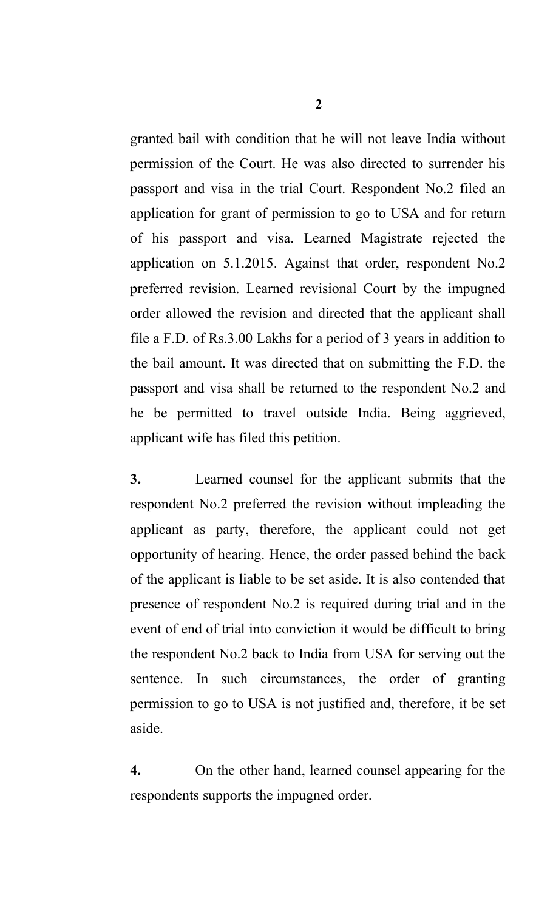granted bail with condition that he will not leave India without permission of the Court. He was also directed to surrender his passport and visa in the trial Court. Respondent No.2 filed an application for grant of permission to go to USA and for return of his passport and visa. Learned Magistrate rejected the application on 5.1.2015. Against that order, respondent No.2 preferred revision. Learned revisional Court by the impugned order allowed the revision and directed that the applicant shall file a F.D. of Rs.3.00 Lakhs for a period of 3 years in addition to the bail amount. It was directed that on submitting the F.D. the passport and visa shall be returned to the respondent No.2 and he be permitted to travel outside India. Being aggrieved, applicant wife has filed this petition.

**3.** Learned counsel for the applicant submits that the respondent No.2 preferred the revision without impleading the applicant as party, therefore, the applicant could not get opportunity of hearing. Hence, the order passed behind the back of the applicant is liable to be set aside. It is also contended that presence of respondent No.2 is required during trial and in the event of end of trial into conviction it would be difficult to bring the respondent No.2 back to India from USA for serving out the sentence. In such circumstances, the order of granting permission to go to USA is not justified and, therefore, it be set aside.

**4.** On the other hand, learned counsel appearing for the respondents supports the impugned order.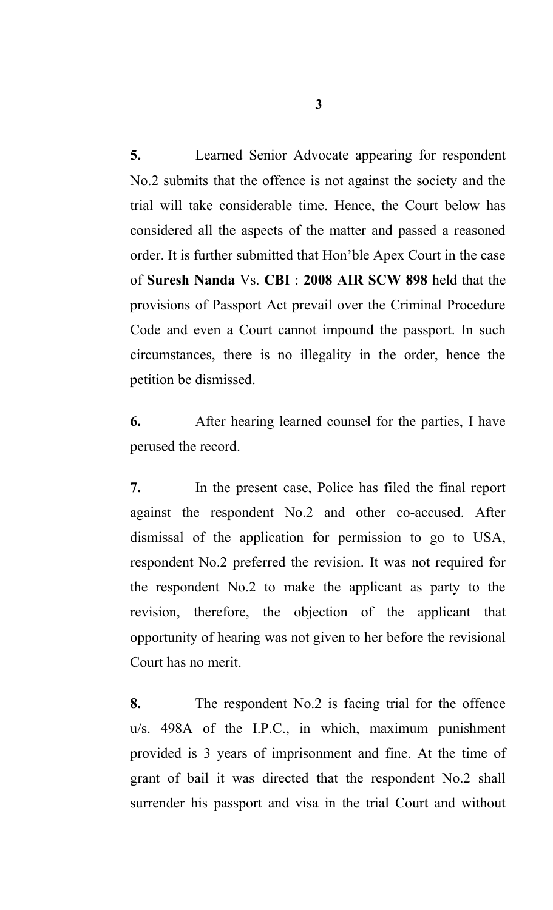**5.** Learned Senior Advocate appearing for respondent No.2 submits that the offence is not against the society and the trial will take considerable time. Hence, the Court below has considered all the aspects of the matter and passed a reasoned order. It is further submitted that Hon'ble Apex Court in the case of **Suresh Nanda** Vs. **CBI** : **2008 AIR SCW 898** held that the provisions of Passport Act prevail over the Criminal Procedure Code and even a Court cannot impound the passport. In such circumstances, there is no illegality in the order, hence the petition be dismissed.

**6.** After hearing learned counsel for the parties, I have perused the record.

**7.** In the present case, Police has filed the final report against the respondent No.2 and other co-accused. After dismissal of the application for permission to go to USA, respondent No.2 preferred the revision. It was not required for the respondent No.2 to make the applicant as party to the revision, therefore, the objection of the applicant that opportunity of hearing was not given to her before the revisional Court has no merit.

**8.** The respondent No.2 is facing trial for the offence u/s. 498A of the I.P.C., in which, maximum punishment provided is 3 years of imprisonment and fine. At the time of grant of bail it was directed that the respondent No.2 shall surrender his passport and visa in the trial Court and without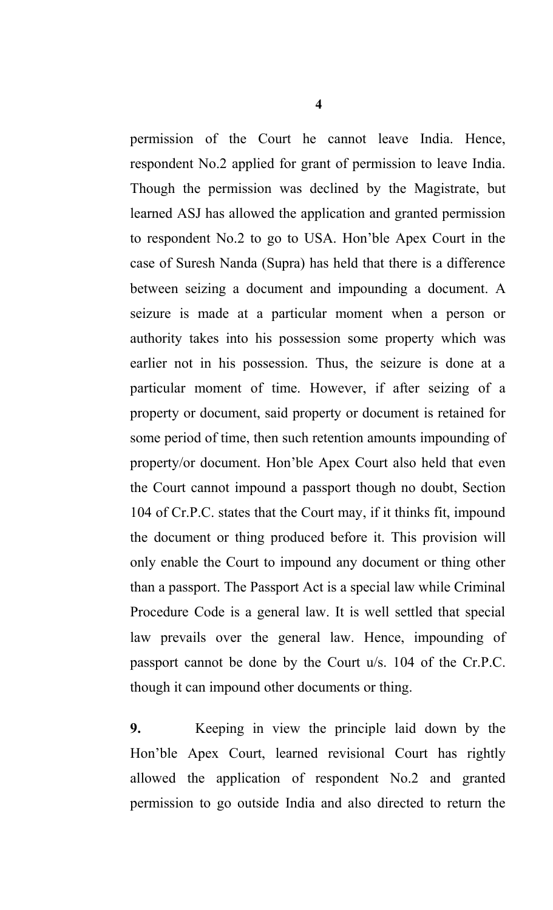permission of the Court he cannot leave India. Hence, respondent No.2 applied for grant of permission to leave India. Though the permission was declined by the Magistrate, but learned ASJ has allowed the application and granted permission to respondent No.2 to go to USA. Hon'ble Apex Court in the case of Suresh Nanda (Supra) has held that there is a difference between seizing a document and impounding a document. A seizure is made at a particular moment when a person or authority takes into his possession some property which was earlier not in his possession. Thus, the seizure is done at a particular moment of time. However, if after seizing of a property or document, said property or document is retained for some period of time, then such retention amounts impounding of property/or document. Hon'ble Apex Court also held that even the Court cannot impound a passport though no doubt, Section 104 of Cr.P.C. states that the Court may, if it thinks fit, impound the document or thing produced before it. This provision will only enable the Court to impound any document or thing other than a passport. The Passport Act is a special law while Criminal Procedure Code is a general law. It is well settled that special law prevails over the general law. Hence, impounding of passport cannot be done by the Court u/s. 104 of the Cr.P.C. though it can impound other documents or thing.

**9.** Keeping in view the principle laid down by the Hon'ble Apex Court, learned revisional Court has rightly allowed the application of respondent No.2 and granted permission to go outside India and also directed to return the